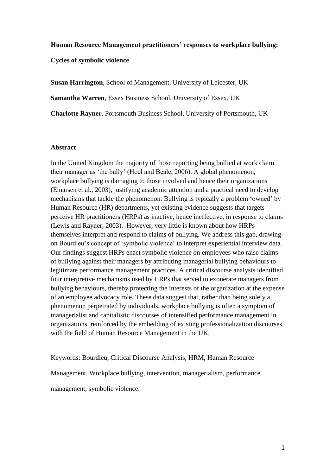### **Human Resource Management practitioners' responses to workplace bullying:**

**Cycles of symbolic violence**

**Susan Harrington**, School of Management, University of Leicester, UK **Samantha Warren**, Essex Business School, University of Essex, UK **Charlotte Rayner**, Portsmouth Business School, University of Portsmouth, UK

### **Abstract**

In the United Kingdom the majority of those reporting being bullied at work claim their manager as 'the bully' (Hoel and Beale, 2006). A global phenomenon, workplace bullying is damaging to those involved and hence their organizations (Einarsen et al., 2003), justifying academic attention and a practical need to develop mechanisms that tackle the phenomenon. Bullying is typically a problem 'owned' by Human Resource (HR) departments, yet existing evidence suggests that targets perceive HR practitioners (HRPs) as inactive, hence ineffective, in response to claims (Lewis and Rayner, 2003). However, very little is known about how HRPs themselves interpret and respond to claims of bullying. We address this gap, drawing on Bourdieu's concept of 'symbolic violence' to interpret experiential interview data. Our findings suggest HRPs enact symbolic violence on employees who raise claims of bullying against their managers by attributing managerial bullying behaviours to legitimate performance management practices. A critical discourse analysis identified four interpretive mechanisms used by HRPs that served to exonerate managers from bullying behaviours, thereby protecting the interests of the organization at the expense of an employee advocacy role. These data suggest that, rather than being solely a phenomenon perpetrated by individuals, workplace bullying is often a symptom of managerialist and capitalistic discourses of intensified performance management in organizations, reinforced by the embedding of existing professionalization discourses with the field of Human Resource Management in the UK.

Keywords: Bourdieu, Critical Discourse Analysis, HRM, Human Resource Management, Workplace bullying, intervention, managerialism, performance management, symbolic violence.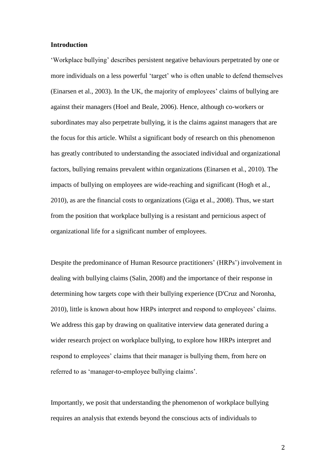#### **Introduction**

'Workplace bullying' describes persistent negative behaviours perpetrated by one or more individuals on a less powerful 'target' who is often unable to defend themselves (Einarsen et al., 2003). In the UK, the majority of employees' claims of bullying are against their managers (Hoel and Beale, 2006). Hence, although co-workers or subordinates may also perpetrate bullying, it is the claims against managers that are the focus for this article. Whilst a significant body of research on this phenomenon has greatly contributed to understanding the associated individual and organizational factors, bullying remains prevalent within organizations (Einarsen et al., 2010). The impacts of bullying on employees are wide-reaching and significant (Hogh et al., 2010), as are the financial costs to organizations (Giga et al., 2008). Thus, we start from the position that workplace bullying is a resistant and pernicious aspect of organizational life for a significant number of employees.

Despite the predominance of Human Resource practitioners' (HRPs') involvement in dealing with bullying claims (Salin, 2008) and the importance of their response in determining how targets cope with their bullying experience (D'Cruz and Noronha, 2010), little is known about how HRPs interpret and respond to employees' claims. We address this gap by drawing on qualitative interview data generated during a wider research project on workplace bullying, to explore how HRPs interpret and respond to employees' claims that their manager is bullying them, from here on referred to as 'manager-to-employee bullying claims'.

Importantly, we posit that understanding the phenomenon of workplace bullying requires an analysis that extends beyond the conscious acts of individuals to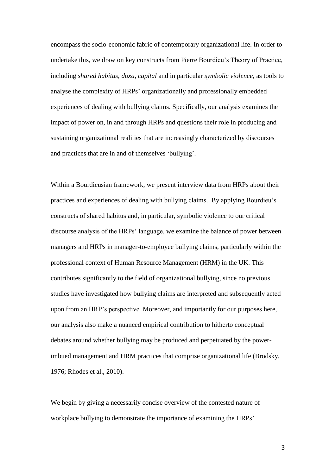encompass the socio-economic fabric of contemporary organizational life. In order to undertake this, we draw on key constructs from Pierre Bourdieu's Theory of Practice, including *shared habitus, doxa, capital* and in particular *symbolic violence,* as tools to analyse the complexity of HRPs' organizationally and professionally embedded experiences of dealing with bullying claims. Specifically, our analysis examines the impact of power on, in and through HRPs and questions their role in producing and sustaining organizational realities that are increasingly characterized by discourses and practices that are in and of themselves 'bullying'.

Within a Bourdieusian framework, we present interview data from HRPs about their practices and experiences of dealing with bullying claims. By applying Bourdieu's constructs of shared habitus and, in particular, symbolic violence to our critical discourse analysis of the HRPs' language, we examine the balance of power between managers and HRPs in manager-to-employee bullying claims, particularly within the professional context of Human Resource Management (HRM) in the UK. This contributes significantly to the field of organizational bullying, since no previous studies have investigated how bullying claims are interpreted and subsequently acted upon from an HRP's perspective. Moreover, and importantly for our purposes here, our analysis also make a nuanced empirical contribution to hitherto conceptual debates around whether bullying may be produced and perpetuated by the powerimbued management and HRM practices that comprise organizational life (Brodsky, 1976; Rhodes et al., 2010).

We begin by giving a necessarily concise overview of the contested nature of workplace bullying to demonstrate the importance of examining the HRPs'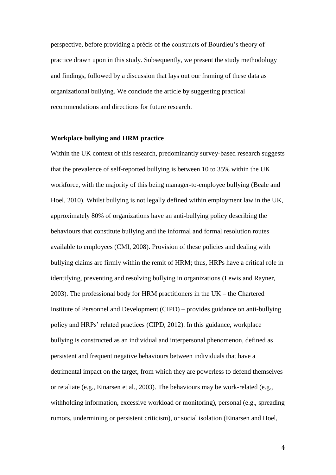perspective, before providing a précis of the constructs of Bourdieu's theory of practice drawn upon in this study. Subsequently, we present the study methodology and findings, followed by a discussion that lays out our framing of these data as organizational bullying. We conclude the article by suggesting practical recommendations and directions for future research.

### **Workplace bullying and HRM practice**

Within the UK context of this research, predominantly survey-based research suggests that the prevalence of self-reported bullying is between 10 to 35% within the UK workforce, with the majority of this being manager-to-employee bullying (Beale and Hoel, 2010). Whilst bullying is not legally defined within employment law in the UK, approximately 80% of organizations have an anti-bullying policy describing the behaviours that constitute bullying and the informal and formal resolution routes available to employees (CMI, 2008). Provision of these policies and dealing with bullying claims are firmly within the remit of HRM; thus, HRPs have a critical role in identifying, preventing and resolving bullying in organizations (Lewis and Rayner, 2003). The professional body for HRM practitioners in the UK – the Chartered Institute of Personnel and Development (CIPD) – provides guidance on anti-bullying policy and HRPs' related practices (CIPD, 2012). In this guidance, workplace bullying is constructed as an individual and interpersonal phenomenon, defined as persistent and frequent negative behaviours between individuals that have a detrimental impact on the target, from which they are powerless to defend themselves or retaliate (e.g., Einarsen et al., 2003). The behaviours may be work-related (e.g., withholding information, excessive workload or monitoring), personal (e.g., spreading rumors, undermining or persistent criticism), or social isolation (Einarsen and Hoel,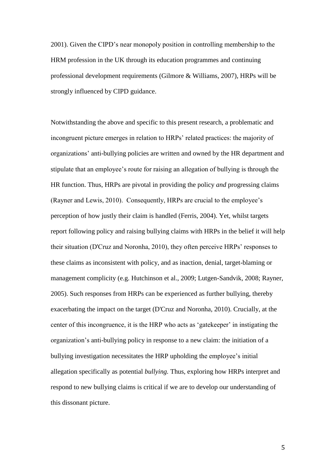2001). Given the CIPD's near monopoly position in controlling membership to the HRM profession in the UK through its education programmes and continuing professional development requirements (Gilmore & Williams, 2007), HRPs will be strongly influenced by CIPD guidance.

Notwithstanding the above and specific to this present research, a problematic and incongruent picture emerges in relation to HRPs' related practices: the majority of organizations' anti-bullying policies are written and owned by the HR department and stipulate that an employee's route for raising an allegation of bullying is through the HR function. Thus, HRPs are pivotal in providing the policy *and* progressing claims (Rayner and Lewis, 2010). Consequently, HRPs are crucial to the employee's perception of how justly their claim is handled (Ferris, 2004). Yet, whilst targets report following policy and raising bullying claims with HRPs in the belief it will help their situation (D'Cruz and Noronha, 2010), they often perceive HRPs' responses to these claims as inconsistent with policy, and as inaction, denial, target-blaming or management complicity (e.g. Hutchinson et al., 2009; Lutgen-Sandvik, 2008; Rayner, 2005). Such responses from HRPs can be experienced as further bullying, thereby exacerbating the impact on the target (D'Cruz and Noronha, 2010). Crucially, at the center of this incongruence, it is the HRP who acts as 'gatekeeper' in instigating the organization's anti-bullying policy in response to a new claim: the initiation of a bullying investigation necessitates the HRP upholding the employee's initial allegation specifically as potential *bullying.* Thus, exploring how HRPs interpret and respond to new bullying claims is critical if we are to develop our understanding of this dissonant picture.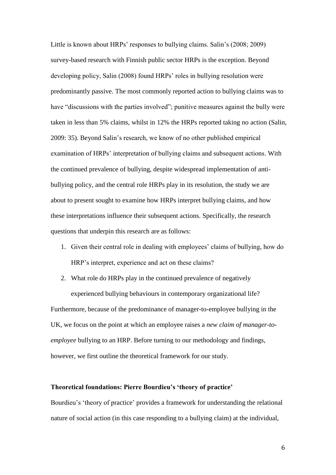Little is known about HRPs' responses to bullying claims. Salin's (2008; 2009) survey-based research with Finnish public sector HRPs is the exception. Beyond developing policy, Salin (2008) found HRPs' roles in bullying resolution were predominantly passive. The most commonly reported action to bullying claims was to have "discussions with the parties involved"; punitive measures against the bully were taken in less than 5% claims, whilst in 12% the HRPs reported taking no action (Salin, 2009: 35). Beyond Salin's research, we know of no other published empirical examination of HRPs' interpretation of bullying claims and subsequent actions. With the continued prevalence of bullying, despite widespread implementation of antibullying policy, and the central role HRPs play in its resolution, the study we are about to present sought to examine how HRPs interpret bullying claims, and how these interpretations influence their subsequent actions. Specifically, the research questions that underpin this research are as follows:

- 1. Given their central role in dealing with employees' claims of bullying, how do HRP's interpret, experience and act on these claims?
- 2. What role do HRPs play in the continued prevalence of negatively experienced bullying behaviours in contemporary organizational life?

Furthermore, because of the predominance of manager-to-employee bullying in the UK, we focus on the point at which an employee raises a *new claim of manager-toemployee* bullying to an HRP. Before turning to our methodology and findings, however, we first outline the theoretical framework for our study.

# **Theoretical foundations: Pierre Bourdieu's 'theory of practice'**

Bourdieu's 'theory of practice' provides a framework for understanding the relational nature of social action (in this case responding to a bullying claim) at the individual,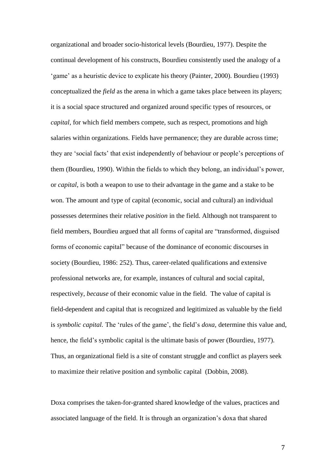organizational and broader socio-historical levels (Bourdieu, 1977). Despite the continual development of his constructs, Bourdieu consistently used the analogy of a 'game' as a heuristic device to explicate his theory (Painter, 2000). Bourdieu (1993) conceptualized the *field* as the arena in which a game takes place between its players; it is a social space structured and organized around specific types of resources, or *capital*, for which field members compete, such as respect, promotions and high salaries within organizations. Fields have permanence; they are durable across time; they are 'social facts' that exist independently of behaviour or people's perceptions of them (Bourdieu, 1990). Within the fields to which they belong, an individual's power, or *capital*, is both a weapon to use to their advantage in the game and a stake to be won. The amount and type of capital (economic, social and cultural) an individual possesses determines their relative *position* in the field. Although not transparent to field members, Bourdieu argued that all forms of capital are "transformed, disguised forms of economic capital" because of the dominance of economic discourses in society (Bourdieu, 1986: 252). Thus, career-related qualifications and extensive professional networks are, for example, instances of cultural and social capital, respectively, *because* of their economic value in the field. The value of capital is field-dependent and capital that is recognized and legitimized as valuable by the field is *symbolic capital.* The 'rules of the game', the field's *doxa,* determine this value and, hence, the field's symbolic capital is the ultimate basis of power (Bourdieu, 1977). Thus, an organizational field is a site of constant struggle and conflict as players seek to maximize their relative position and symbolic capital (Dobbin, 2008).

Doxa comprises the taken-for-granted shared knowledge of the values, practices and associated language of the field. It is through an organization's doxa that shared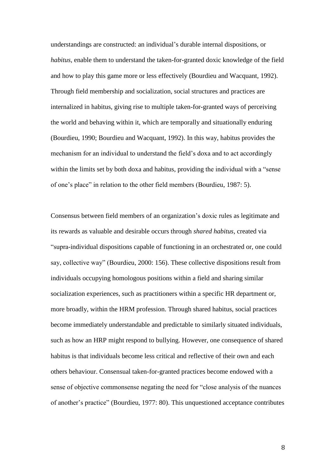understandings are constructed: an individual's durable internal dispositions, or *habitus,* enable them to understand the taken-for-granted doxic knowledge of the field and how to play this game more or less effectively (Bourdieu and Wacquant, 1992). Through field membership and socialization, social structures and practices are internalized in habitus, giving rise to multiple taken-for-granted ways of perceiving the world and behaving within it, which are temporally and situationally enduring (Bourdieu, 1990; Bourdieu and Wacquant, 1992). In this way, habitus provides the mechanism for an individual to understand the field's doxa and to act accordingly within the limits set by both doxa and habitus, providing the individual with a "sense of one's place" in relation to the other field members (Bourdieu, 1987: 5).

Consensus between field members of an organization's doxic rules as legitimate and its rewards as valuable and desirable occurs through *shared habitus*, created via "supra-individual dispositions capable of functioning in an orchestrated or, one could say, collective way" (Bourdieu, 2000: 156). These collective dispositions result from individuals occupying homologous positions within a field and sharing similar socialization experiences, such as practitioners within a specific HR department or, more broadly, within the HRM profession. Through shared habitus, social practices become immediately understandable and predictable to similarly situated individuals, such as how an HRP might respond to bullying. However, one consequence of shared habitus is that individuals become less critical and reflective of their own and each others behaviour. Consensual taken-for-granted practices become endowed with a sense of objective commonsense negating the need for "close analysis of the nuances of another's practice" (Bourdieu, 1977: 80). This unquestioned acceptance contributes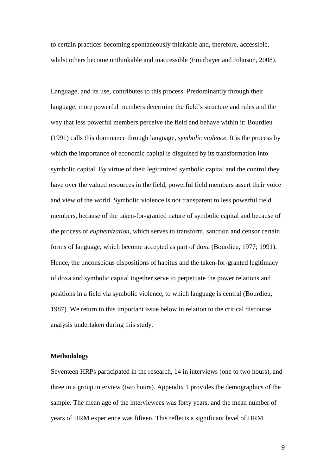to certain practices becoming spontaneously thinkable and, therefore, accessible, whilst others become unthinkable and inaccessible (Emirbayer and Johnson, 2008).

Language, and its use, contributes to this process. Predominantly through their language, more powerful members determine the field's structure and rules and the way that less powerful members perceive the field and behave within it: Bourdieu (1991) calls this dominance through language, *symbolic violence*. It is the process by which the importance of economic capital is disguised by its transformation into symbolic capital. By virtue of their legitimized symbolic capital and the control they have over the valued resources in the field, powerful field members assert their voice and view of the world. Symbolic violence is not transparent to less powerful field members, because of the taken-for-granted nature of symbolic capital and because of the process of *euphemization*, which serves to transform, sanction and censor certain forms of language, which become accepted as part of doxa (Bourdieu, 1977; 1991). Hence, the unconscious dispositions of habitus and the taken-for-granted legitimacy of doxa and symbolic capital together serve to perpetuate the power relations and positions in a field via symbolic violence, to which language is central (Bourdieu, 1987). We return to this important issue below in relation to the critical discourse analysis undertaken during this study.

## **Methodology**

Seventeen HRPs participated in the research, 14 in interviews (one to two hours), and three in a group interview (two hours). Appendix 1 provides the demographics of the sample. The mean age of the interviewees was forty years, and the mean number of years of HRM experience was fifteen. This reflects a significant level of HRM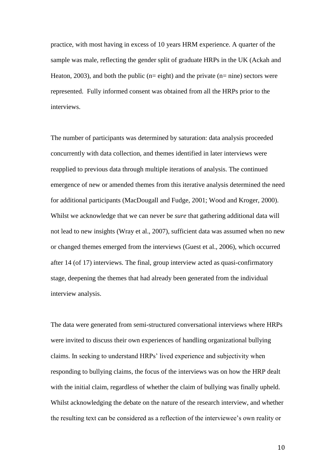practice, with most having in excess of 10 years HRM experience. A quarter of the sample was male, reflecting the gender split of graduate HRPs in the UK (Ackah and Heaton, 2003), and both the public ( $n =$  eight) and the private ( $n =$  nine) sectors were represented. Fully informed consent was obtained from all the HRPs prior to the interviews.

The number of participants was determined by saturation: data analysis proceeded concurrently with data collection, and themes identified in later interviews were reapplied to previous data through multiple iterations of analysis. The continued emergence of new or amended themes from this iterative analysis determined the need for additional participants (MacDougall and Fudge, 2001; Wood and Kroger, 2000). Whilst we acknowledge that we can never be *sure* that gathering additional data will not lead to new insights (Wray et al., 2007), sufficient data was assumed when no new or changed themes emerged from the interviews (Guest et al., 2006), which occurred after 14 (of 17) interviews. The final, group interview acted as quasi-confirmatory stage, deepening the themes that had already been generated from the individual interview analysis.

The data were generated from semi-structured conversational interviews where HRPs were invited to discuss their own experiences of handling organizational bullying claims. In seeking to understand HRPs' lived experience and subjectivity when responding to bullying claims, the focus of the interviews was on how the HRP dealt with the initial claim, regardless of whether the claim of bullying was finally upheld. Whilst acknowledging the debate on the nature of the research interview, and whether the resulting text can be considered as a reflection of the interviewee's own reality or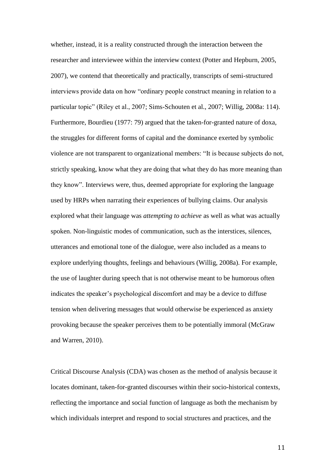whether, instead, it is a reality constructed through the interaction between the researcher and interviewee within the interview context (Potter and Hepburn, 2005, 2007), we contend that theoretically and practically, transcripts of semi-structured interviews provide data on how "ordinary people construct meaning in relation to a particular topic" (Riley et al., 2007; Sims-Schouten et al., 2007; Willig, 2008a: 114). Furthermore, Bourdieu (1977: 79) argued that the taken-for-granted nature of doxa, the struggles for different forms of capital and the dominance exerted by symbolic violence are not transparent to organizational members: "It is because subjects do not, strictly speaking, know what they are doing that what they do has more meaning than they know". Interviews were, thus, deemed appropriate for exploring the language used by HRPs when narrating their experiences of bullying claims. Our analysis explored what their language was *attempting to achieve* as well as what was actually spoken. Non-linguistic modes of communication, such as the interstices, silences, utterances and emotional tone of the dialogue, were also included as a means to explore underlying thoughts, feelings and behaviours (Willig, 2008a). For example, the use of laughter during speech that is not otherwise meant to be humorous often indicates the speaker's psychological discomfort and may be a device to diffuse tension when delivering messages that would otherwise be experienced as anxiety provoking because the speaker perceives them to be potentially immoral (McGraw and Warren, 2010).

Critical Discourse Analysis (CDA) was chosen as the method of analysis because it locates dominant, taken-for-granted discourses within their socio-historical contexts, reflecting the importance and social function of language as both the mechanism by which individuals interpret and respond to social structures and practices, and the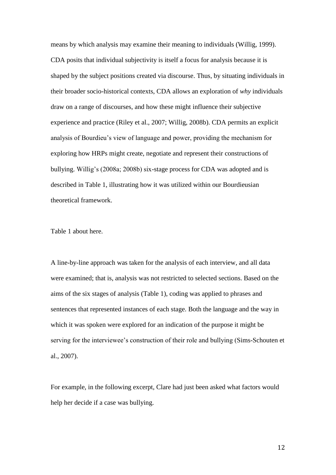means by which analysis may examine their meaning to individuals (Willig, 1999). CDA posits that individual subjectivity is itself a focus for analysis because it is shaped by the subject positions created via discourse. Thus, by situating individuals in their broader socio-historical contexts, CDA allows an exploration of *why* individuals draw on a range of discourses, and how these might influence their subjective experience and practice (Riley et al., 2007; Willig, 2008b). CDA permits an explicit analysis of Bourdieu's view of language and power, providing the mechanism for exploring how HRPs might create, negotiate and represent their constructions of bullying. Willig's (2008a; 2008b) six-stage process for CDA was adopted and is described in Table 1, illustrating how it was utilized within our Bourdieusian theoretical framework.

Table 1 about here.

A line-by-line approach was taken for the analysis of each interview, and all data were examined; that is, analysis was not restricted to selected sections. Based on the aims of the six stages of analysis (Table 1), coding was applied to phrases and sentences that represented instances of each stage. Both the language and the way in which it was spoken were explored for an indication of the purpose it might be serving for the interviewee's construction of their role and bullying (Sims-Schouten et al., 2007).

For example, in the following excerpt, Clare had just been asked what factors would help her decide if a case was bullying.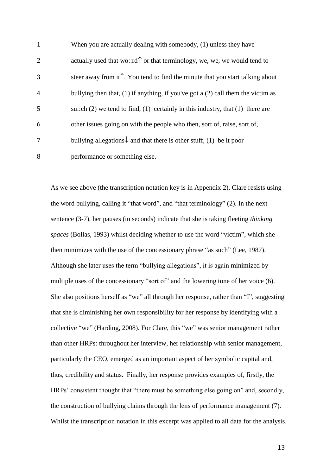| $\mathbf{1}$   | When you are actually dealing with somebody, (1) unless they have                       |
|----------------|-----------------------------------------------------------------------------------------|
| $\overline{2}$ | actually used that wo::rd $\uparrow$ or that terminology, we, we, we would tend to      |
| 3              | steer away from it $\hat{I}$ . You tend to find the minute that you start talking about |
| $\overline{4}$ | bullying then that, $(1)$ if anything, if you've got a $(2)$ call them the victim as    |
| 5              | su::ch $(2)$ we tend to find, $(1)$ certainly in this industry, that $(1)$ there are    |
| 6              | other issues going on with the people who then, sort of, raise, sort of,                |
| 7              | bullying allegations $\downarrow$ and that there is other stuff, (1) be it poor         |
| 8              | performance or something else.                                                          |

As we see above (the transcription notation key is in Appendix 2), Clare resists using the word bullying, calling it "that word", and "that terminology" (2). In the next sentence (3-7), her pauses (in seconds) indicate that she is taking fleeting *thinking spaces* (Bollas, 1993) whilst deciding whether to use the word "victim", which she then minimizes with the use of the concessionary phrase "as such" (Lee, 1987). Although she later uses the term "bullying allegations", it is again minimized by multiple uses of the concessionary "sort of" and the lowering tone of her voice (6). She also positions herself as "we" all through her response, rather than "I", suggesting that she is diminishing her own responsibility for her response by identifying with a collective "we" (Harding, 2008). For Clare, this "we" was senior management rather than other HRPs: throughout her interview, her relationship with senior management, particularly the CEO, emerged as an important aspect of her symbolic capital and, thus, credibility and status. Finally, her response provides examples of, firstly, the HRPs' consistent thought that "there must be something else going on" and, secondly, the construction of bullying claims through the lens of performance management (7). Whilst the transcription notation in this excerpt was applied to all data for the analysis,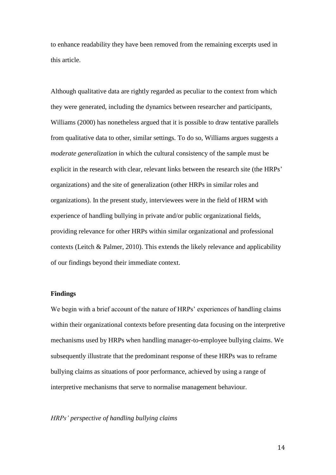to enhance readability they have been removed from the remaining excerpts used in this article.

Although qualitative data are rightly regarded as peculiar to the context from which they were generated, including the dynamics between researcher and participants, Williams (2000) has nonetheless argued that it is possible to draw tentative parallels from qualitative data to other, similar settings. To do so, Williams argues suggests a *moderate generalization* in which the cultural consistency of the sample must be explicit in the research with clear, relevant links between the research site (the HRPs' organizations) and the site of generalization (other HRPs in similar roles and organizations). In the present study, interviewees were in the field of HRM with experience of handling bullying in private and/or public organizational fields, providing relevance for other HRPs within similar organizational and professional contexts (Leitch & Palmer, 2010). This extends the likely relevance and applicability of our findings beyond their immediate context.

# **Findings**

We begin with a brief account of the nature of HRPs' experiences of handling claims within their organizational contexts before presenting data focusing on the interpretive mechanisms used by HRPs when handling manager-to-employee bullying claims. We subsequently illustrate that the predominant response of these HRPs was to reframe bullying claims as situations of poor performance, achieved by using a range of interpretive mechanisms that serve to normalise management behaviour.

## *HRPs' perspective of handling bullying claims*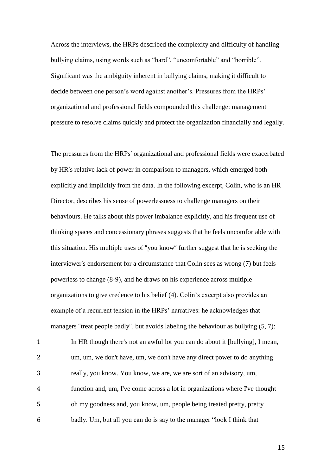Across the interviews, the HRPs described the complexity and difficulty of handling bullying claims, using words such as "hard", "uncomfortable" and "horrible". Significant was the ambiguity inherent in bullying claims, making it difficult to decide between one person's word against another's. Pressures from the HRPs' organizational and professional fields compounded this challenge: management pressure to resolve claims quickly and protect the organization financially and legally.

The pressures from the HRPs' organizational and professional fields were exacerbated by HR's relative lack of power in comparison to managers, which emerged both explicitly and implicitly from the data. In the following excerpt, Colin, who is an HR Director, describes his sense of powerlessness to challenge managers on their behaviours. He talks about this power imbalance explicitly, and his frequent use of thinking spaces and concessionary phrases suggests that he feels uncomfortable with this situation. His multiple uses of "you know" further suggest that he is seeking the interviewer's endorsement for a circumstance that Colin sees as wrong (7) but feels powerless to change (8-9), and he draws on his experience across multiple organizations to give credence to his belief (4). Colin's excerpt also provides an example of a recurrent tension in the HRPs' narratives: he acknowledges that managers "treat people badly", but avoids labeling the behaviour as bullying (5, 7):

 In HR though there's not an awful lot you can do about it [bullying], I mean, um, um, we don't have, um, we don't have any direct power to do anything really, you know. You know, we are, we are sort of an advisory, um, function and, um, I've come across a lot in organizations where I've thought oh my goodness and, you know, um, people being treated pretty, pretty badly. Um, but all you can do is say to the manager "look I think that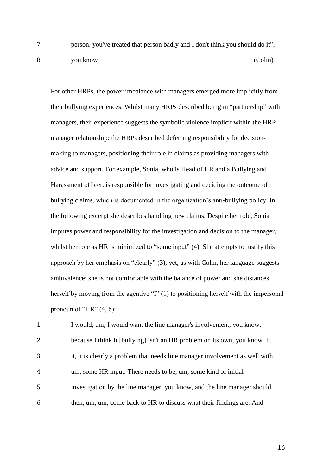7 person, you've treated that person badly and I don't think you should do it", 8 you know (Colin)

For other HRPs, the power imbalance with managers emerged more implicitly from their bullying experiences. Whilst many HRPs described being in "partnership" with managers, their experience suggests the symbolic violence implicit within the HRPmanager relationship: the HRPs described deferring responsibility for decisionmaking to managers, positioning their role in claims as providing managers with advice and support. For example, Sonia, who is Head of HR and a Bullying and Harassment officer, is responsible for investigating and deciding the outcome of bullying claims, which is documented in the organization's anti-bullying policy. In the following excerpt she describes handling new claims. Despite her role, Sonia imputes power and responsibility for the investigation and decision to the manager, whilst her role as HR is minimized to "some input" (4). She attempts to justify this approach by her emphasis on "clearly" (3), yet, as with Colin, her language suggests ambivalence: she is not comfortable with the balance of power and she distances herself by moving from the agentive "I" (1) to positioning herself with the impersonal pronoun of "HR"  $(4, 6)$ :

 I would, um, I would want the line manager's involvement, you know, because I think it [bullying] isn't an HR problem on its own, you know. It, it, it is clearly a problem that needs line manager involvement as well with, um, some HR input. There needs to be, um, some kind of initial investigation by the line manager, you know, and the line manager should then, um, um, come back to HR to discuss what their findings are. And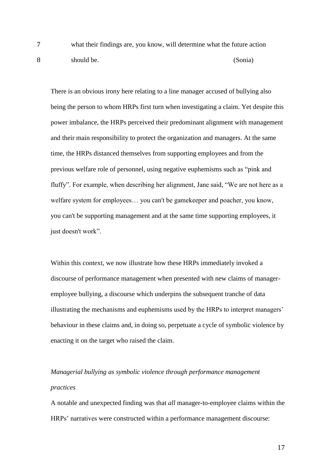7 what their findings are, you know, will determine what the future action 8 should be. (Sonia)

There is an obvious irony here relating to a line manager accused of bullying also being the person to whom HRPs first turn when investigating a claim. Yet despite this power imbalance, the HRPs perceived their predominant alignment with management and their main responsibility to protect the organization and managers. At the same time, the HRPs distanced themselves from supporting employees and from the previous welfare role of personnel, using negative euphemisms such as "pink and fluffy". For example, when describing her alignment, Jane said, "We are not here as a welfare system for employees… you can't be gamekeeper and poacher, you know, you can't be supporting management and at the same time supporting employees, it just doesn't work".

Within this context, we now illustrate how these HRPs immediately invoked a discourse of performance management when presented with new claims of manageremployee bullying, a discourse which underpins the subsequent tranche of data illustrating the mechanisms and euphemisms used by the HRPs to interpret managers' behaviour in these claims and, in doing so, perpetuate a cycle of symbolic violence by enacting it on the target who raised the claim.

*Managerial bullying as symbolic violence through performance management practices*

A notable and unexpected finding was that *all* manager-to-employee claims within the HRPs' narratives were constructed within a performance management discourse: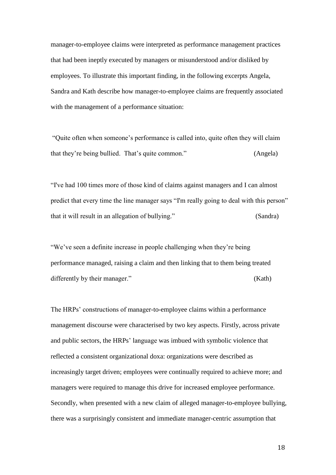manager-to-employee claims were interpreted as performance management practices that had been ineptly executed by managers or misunderstood and/or disliked by employees. To illustrate this important finding, in the following excerpts Angela, Sandra and Kath describe how manager-to-employee claims are frequently associated with the management of a performance situation:

"Quite often when someone's performance is called into, quite often they will claim that they're being bullied. That's quite common." (Angela)

"I've had 100 times more of those kind of claims against managers and I can almost predict that every time the line manager says "I'm really going to deal with this person" that it will result in an allegation of bullying." (Sandra)

"We've seen a definite increase in people challenging when they're being performance managed, raising a claim and then linking that to them being treated differently by their manager." (Kath)

The HRPs' constructions of manager-to-employee claims within a performance management discourse were characterised by two key aspects. Firstly, across private and public sectors, the HRPs' language was imbued with symbolic violence that reflected a consistent organizational doxa: organizations were described as increasingly target driven; employees were continually required to achieve more; and managers were required to manage this drive for increased employee performance. Secondly, when presented with a new claim of alleged manager-to-employee bullying, there was a surprisingly consistent and immediate manager-centric assumption that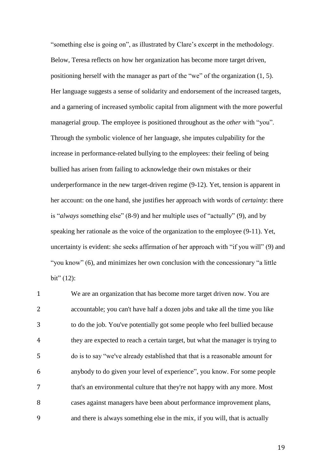"something else is going on", as illustrated by Clare's excerpt in the methodology. Below, Teresa reflects on how her organization has become more target driven, positioning herself with the manager as part of the "we" of the organization (1, 5). Her language suggests a sense of solidarity and endorsement of the increased targets, and a garnering of increased symbolic capital from alignment with the more powerful managerial group. The employee is positioned throughout as the *other* with "you". Through the symbolic violence of her language, she imputes culpability for the increase in performance-related bullying to the employees: their feeling of being bullied has arisen from failing to acknowledge their own mistakes or their underperformance in the new target-driven regime (9-12). Yet, tension is apparent in her account: on the one hand, she justifies her approach with words of *certainty*: there is "*always* something else" (8-9) and her multiple uses of "actually" (9), and by speaking her rationale as the voice of the organization to the employee (9-11). Yet, uncertainty is evident: she seeks affirmation of her approach with "if you will" (9) and "you know" (6), and minimizes her own conclusion with the concessionary "a little  $bit" (12):$ 

 We are an organization that has become more target driven now. You are accountable; you can't have half a dozen jobs and take all the time you like to do the job. You've potentially got some people who feel bullied because they are expected to reach a certain target, but what the manager is trying to do is to say "we've already established that that is a reasonable amount for anybody to do given your level of experience", you know. For some people that's an environmental culture that they're not happy with any more. Most cases against managers have been about performance improvement plans, and there is always something else in the mix, if you will, that is actually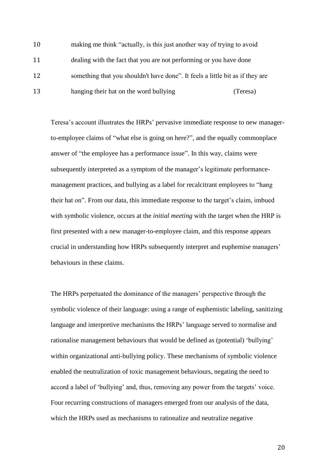| 10 | making me think "actually, is this just another way of trying to avoid        |          |
|----|-------------------------------------------------------------------------------|----------|
| 11 | dealing with the fact that you are not performing or you have done            |          |
| 12 | something that you shouldn't have done". It feels a little bit as if they are |          |
| 13 | hanging their hat on the word bullying                                        | (Teresa) |

Teresa's account illustrates the HRPs' pervasive immediate response to new managerto-employee claims of "what else is going on here?", and the equally commonplace answer of "the employee has a performance issue". In this way, claims were subsequently interpreted as a symptom of the manager's legitimate performancemanagement practices, and bullying as a label for recalcitrant employees to "hang their hat on". From our data, this immediate response to the target's claim, imbued with symbolic violence, occurs at the *initial meeting* with the target when the HRP is first presented with a new manager-to-employee claim, and this response appears crucial in understanding how HRPs subsequently interpret and euphemise managers' behaviours in these claims.

The HRPs perpetuated the dominance of the managers' perspective through the symbolic violence of their language: using a range of euphemistic labeling, sanitizing language and interpretive mechanisms the HRPs' language served to normalise and rationalise management behaviours that would be defined as (potential) 'bullying' within organizational anti-bullying policy. These mechanisms of symbolic violence enabled the neutralization of toxic management behaviours, negating the need to accord a label of 'bullying' and, thus, removing any power from the targets' voice. Four recurring constructions of managers emerged from our analysis of the data, which the HRPs used as mechanisms to rationalize and neutralize negative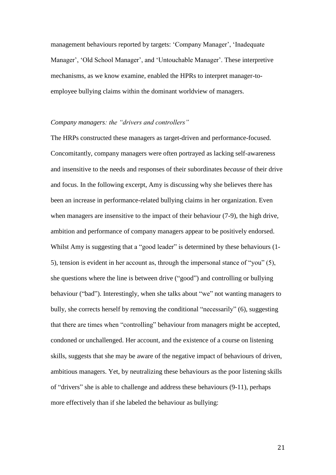management behaviours reported by targets: 'Company Manager', 'Inadequate Manager', 'Old School Manager', and 'Untouchable Manager'. These interpretive mechanisms, as we know examine, enabled the HPRs to interpret manager-toemployee bullying claims within the dominant worldview of managers.

# *Company managers: the "drivers and controllers"*

The HRPs constructed these managers as target-driven and performance-focused. Concomitantly, company managers were often portrayed as lacking self-awareness and insensitive to the needs and responses of their subordinates *because* of their drive and focus. In the following excerpt, Amy is discussing why she believes there has been an increase in performance-related bullying claims in her organization. Even when managers are insensitive to the impact of their behaviour  $(7-9)$ , the high drive, ambition and performance of company managers appear to be positively endorsed. Whilst Amy is suggesting that a "good leader" is determined by these behaviours (1- 5), tension is evident in her account as, through the impersonal stance of "you" (5), she questions where the line is between drive ("good") and controlling or bullying behaviour ("bad"). Interestingly, when she talks about "we" not wanting managers to bully, she corrects herself by removing the conditional "necessarily" (6), suggesting that there are times when "controlling" behaviour from managers might be accepted, condoned or unchallenged. Her account, and the existence of a course on listening skills, suggests that she may be aware of the negative impact of behaviours of driven, ambitious managers. Yet, by neutralizing these behaviours as the poor listening skills of "drivers" she is able to challenge and address these behaviours (9-11), perhaps more effectively than if she labeled the behaviour as bullying: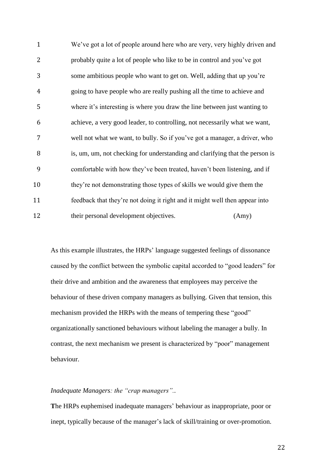We've got a lot of people around here who are very, very highly driven and probably quite a lot of people who like to be in control and you've got some ambitious people who want to get on. Well, adding that up you're going to have people who are really pushing all the time to achieve and where it's interesting is where you draw the line between just wanting to achieve, a very good leader, to controlling, not necessarily what we want, well not what we want, to bully. So if you've got a manager, a driver, who is, um, um, not checking for understanding and clarifying that the person is comfortable with how they've been treated, haven't been listening, and if they're not demonstrating those types of skills we would give them the feedback that they're not doing it right and it might well then appear into 12 their personal development objectives. (Amy)

As this example illustrates, the HRPs' language suggested feelings of dissonance caused by the conflict between the symbolic capital accorded to "good leaders" for their drive and ambition and the awareness that employees may perceive the behaviour of these driven company managers as bullying. Given that tension, this mechanism provided the HRPs with the means of tempering these "good" organizationally sanctioned behaviours without labeling the manager a bully. In contrast, the next mechanism we present is characterized by "poor" management behaviour.

### *Inadequate Managers: the "crap managers"..*

**T**he HRPs euphemised inadequate managers' behaviour as inappropriate, poor or inept, typically because of the manager's lack of skill/training or over-promotion.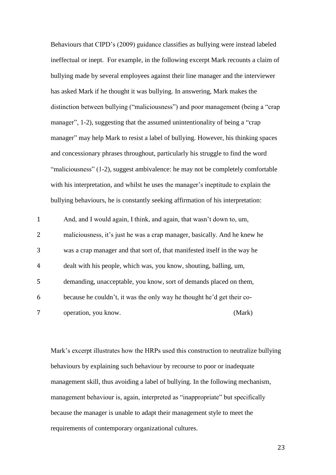Behaviours that CIPD's (2009) guidance classifies as bullying were instead labeled ineffectual or inept. For example, in the following excerpt Mark recounts a claim of bullying made by several employees against their line manager and the interviewer has asked Mark if he thought it was bullying. In answering, Mark makes the distinction between bullying ("maliciousness") and poor management (being a "crap manager", 1-2), suggesting that the assumed unintentionality of being a "crap manager" may help Mark to resist a label of bullying. However, his thinking spaces and concessionary phrases throughout, particularly his struggle to find the word "maliciousness" (1-2), suggest ambivalence: he may not be completely comfortable with his interpretation, and whilst he uses the manager's ineptitude to explain the bullying behaviours, he is constantly seeking affirmation of his interpretation:

| $\mathbf{1}$   | And, and I would again, I think, and again, that wasn't down to, um,      |        |
|----------------|---------------------------------------------------------------------------|--------|
| 2              | maliciousness, it's just he was a crap manager, basically. And he knew he |        |
| 3              | was a crap manager and that sort of, that manifested itself in the way he |        |
| $\overline{4}$ | dealt with his people, which was, you know, shouting, balling, um,        |        |
| 5              | demanding, unacceptable, you know, sort of demands placed on them,        |        |
| 6              | because he couldn't, it was the only way he thought he'd get their co-    |        |
| 7              | operation, you know.                                                      | (Mark) |

Mark's excerpt illustrates how the HRPs used this construction to neutralize bullying behaviours by explaining such behaviour by recourse to poor or inadequate management skill, thus avoiding a label of bullying. In the following mechanism, management behaviour is, again, interpreted as "inappropriate" but specifically because the manager is unable to adapt their management style to meet the requirements of contemporary organizational cultures.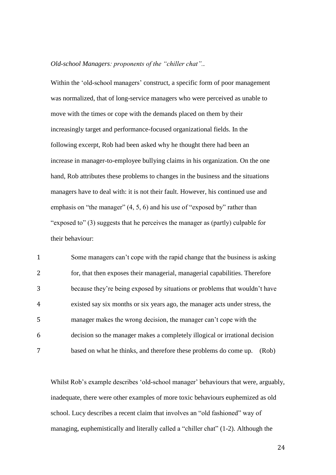### *Old-school Managers: proponents of the "chiller chat"..*

Within the 'old-school managers' construct, a specific form of poor management was normalized, that of long-service managers who were perceived as unable to move with the times or cope with the demands placed on them by their increasingly target and performance-focused organizational fields. In the following excerpt, Rob had been asked why he thought there had been an increase in manager-to-employee bullying claims in his organization. On the one hand, Rob attributes these problems to changes in the business and the situations managers have to deal with: it is not their fault. However, his continued use and emphasis on "the manager" (4, 5, 6) and his use of "exposed by" rather than "exposed to" (3) suggests that he perceives the manager as (partly) culpable for their behaviour:

 Some managers can't cope with the rapid change that the business is asking for, that then exposes their managerial, managerial capabilities. Therefore because they're being exposed by situations or problems that wouldn't have existed say six months or six years ago, the manager acts under stress, the manager makes the wrong decision, the manager can't cope with the decision so the manager makes a completely illogical or irrational decision based on what he thinks, and therefore these problems do come up. (Rob)

Whilst Rob's example describes 'old-school manager' behaviours that were, arguably, inadequate, there were other examples of more toxic behaviours euphemized as old school. Lucy describes a recent claim that involves an "old fashioned" way of managing, euphemistically and literally called a "chiller chat" (1-2). Although the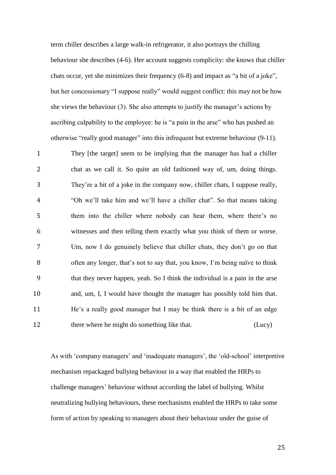term chiller describes a large walk-in refrigerator, it also portrays the chilling behaviour she describes (4-6). Her account suggests complicity: she knows that chiller chats occur, yet she minimizes their frequency (6-8) and impact as "a bit of a joke", but her concessionary "I suppose really" would suggest conflict: this may not be how she views the behaviour (3). She also attempts to justify the manager's actions by ascribing culpability to the employee: he is "a pain in the arse" who has pushed an otherwise "really good manager" into this infrequent but extreme behaviour (9-11).

 They [the target] seem to be implying that the manager has had a chiller chat as we call it. So quite an old fashioned way of, um, doing things. They're a bit of a joke in the company now, chiller chats, I suppose really, "Oh we'll take him and we'll have a chiller chat". So that means taking them into the chiller where nobody can hear them, where there's no witnesses and then telling them exactly what you think of them or worse. Um, now I do genuinely believe that chiller chats, they don't go on that often any longer, that's not to say that, you know, I'm being naïve to think that they never happen, yeah. So I think the individual is a pain in the arse and, um, I, I would have thought the manager has possibly told him that. He's a really good manager but I may be think there is a bit of an edge 12 there where he might do something like that. (Lucy)

As with 'company managers' and 'inadequate managers', the 'old-school' interpretive mechanism repackaged bullying behaviour in a way that enabled the HRPs to challenge managers' behaviour without according the label of bullying. Whilst neutralizing bullying behaviours, these mechanisms enabled the HRPs to take some form of action by speaking to managers about their behaviour under the guise of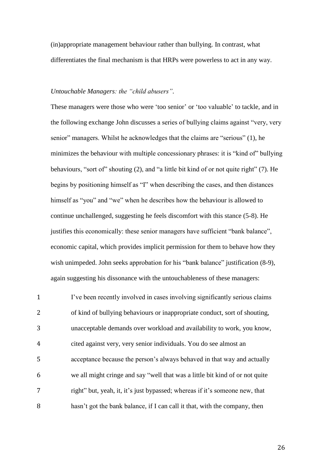(in)appropriate management behaviour rather than bullying. In contrast, what differentiates the final mechanism is that HRPs were powerless to act in any way.

## *Untouchable Managers: the "child abusers".*

These managers were those who were 'too senior' or 'too valuable' to tackle, and in the following exchange John discusses a series of bullying claims against "very, very senior" managers. Whilst he acknowledges that the claims are "serious" (1), he minimizes the behaviour with multiple concessionary phrases: it is "kind of" bullying behaviours, "sort of" shouting (2), and "a little bit kind of or not quite right" (7). He begins by positioning himself as "I" when describing the cases, and then distances himself as "you" and "we" when he describes how the behaviour is allowed to continue unchallenged, suggesting he feels discomfort with this stance (5-8). He justifies this economically: these senior managers have sufficient "bank balance", economic capital, which provides implicit permission for them to behave how they wish unimpeded. John seeks approbation for his "bank balance" justification (8-9), again suggesting his dissonance with the untouchableness of these managers:

 I've been recently involved in cases involving significantly serious claims of kind of bullying behaviours or inappropriate conduct, sort of shouting, unacceptable demands over workload and availability to work, you know, cited against very, very senior individuals. You do see almost an acceptance because the person's always behaved in that way and actually we all might cringe and say "well that was a little bit kind of or not quite right" but, yeah, it, it's just bypassed; whereas if it's someone new, that hasn't got the bank balance, if I can call it that, with the company, then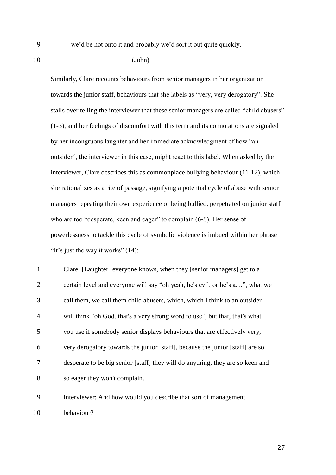9 we'd be hot onto it and probably we'd sort it out quite quickly.

10 (John)

Similarly, Clare recounts behaviours from senior managers in her organization towards the junior staff, behaviours that she labels as "very, very derogatory". She stalls over telling the interviewer that these senior managers are called "child abusers" (1-3), and her feelings of discomfort with this term and its connotations are signaled by her incongruous laughter and her immediate acknowledgment of how "an outsider", the interviewer in this case, might react to this label. When asked by the interviewer, Clare describes this as commonplace bullying behaviour (11-12), which she rationalizes as a rite of passage, signifying a potential cycle of abuse with senior managers repeating their own experience of being bullied, perpetrated on junior staff who are too "desperate, keen and eager" to complain (6-8). Her sense of powerlessness to tackle this cycle of symbolic violence is imbued within her phrase "It's just the way it works" (14):

 Clare: [Laughter] everyone knows, when they [senior managers] get to a certain level and everyone will say "oh yeah, he's evil, or he's a....", what we call them, we call them child abusers, which, which I think to an outsider will think "oh God, that's a very strong word to use", but that, that's what you use if somebody senior displays behaviours that are effectively very, very derogatory towards the junior [staff], because the junior [staff] are so desperate to be big senior [staff] they will do anything, they are so keen and so eager they won't complain.

9 Interviewer: And how would you describe that sort of management 10 behaviour?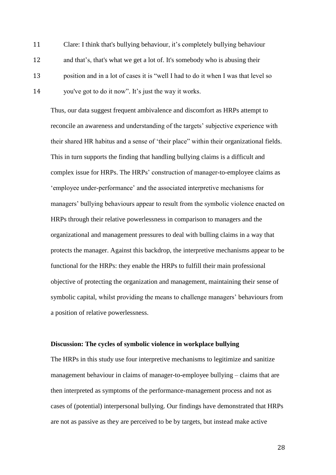Clare: I think that's bullying behaviour, it's completely bullying behaviour and that's, that's what we get a lot of. It's somebody who is abusing their position and in a lot of cases it is "well I had to do it when I was that level so you've got to do it now". It's just the way it works.

Thus, our data suggest frequent ambivalence and discomfort as HRPs attempt to reconcile an awareness and understanding of the targets' subjective experience with their shared HR habitus and a sense of 'their place" within their organizational fields. This in turn supports the finding that handling bullying claims is a difficult and complex issue for HRPs. The HRPs' construction of manager-to-employee claims as 'employee under-performance' and the associated interpretive mechanisms for managers' bullying behaviours appear to result from the symbolic violence enacted on HRPs through their relative powerlessness in comparison to managers and the organizational and management pressures to deal with bulling claims in a way that protects the manager. Against this backdrop, the interpretive mechanisms appear to be functional for the HRPs: they enable the HRPs to fulfill their main professional objective of protecting the organization and management, maintaining their sense of symbolic capital, whilst providing the means to challenge managers' behaviours from a position of relative powerlessness.

## **Discussion: The cycles of symbolic violence in workplace bullying**

The HRPs in this study use four interpretive mechanisms to legitimize and sanitize management behaviour in claims of manager-to-employee bullying – claims that are then interpreted as symptoms of the performance-management process and not as cases of (potential) interpersonal bullying. Our findings have demonstrated that HRPs are not as passive as they are perceived to be by targets, but instead make active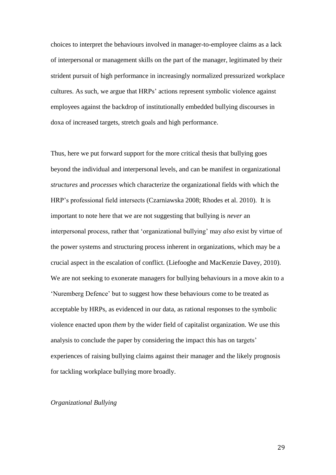choices to interpret the behaviours involved in manager-to-employee claims as a lack of interpersonal or management skills on the part of the manager, legitimated by their strident pursuit of high performance in increasingly normalized pressurized workplace cultures. As such, we argue that HRPs' actions represent symbolic violence against employees against the backdrop of institutionally embedded bullying discourses in doxa of increased targets, stretch goals and high performance.

Thus, here we put forward support for the more critical thesis that bullying goes beyond the individual and interpersonal levels, and can be manifest in organizational *structures* and *processes* which characterize the organizational fields with which the HRP's professional field intersects (Czarniawska 2008; Rhodes et al. 2010). It is important to note here that we are not suggesting that bullying is *never* an interpersonal process, rather that 'organizational bullying' may *also* exist by virtue of the power systems and structuring process inherent in organizations, which may be a crucial aspect in the escalation of conflict. (Liefooghe and MacKenzie Davey, 2010). We are not seeking to exonerate managers for bullying behaviours in a move akin to a 'Nuremberg Defence' but to suggest how these behaviours come to be treated as acceptable by HRPs, as evidenced in our data, as rational responses to the symbolic violence enacted upon *them* by the wider field of capitalist organization. We use this analysis to conclude the paper by considering the impact this has on targets' experiences of raising bullying claims against their manager and the likely prognosis for tackling workplace bullying more broadly.

## *Organizational Bullying*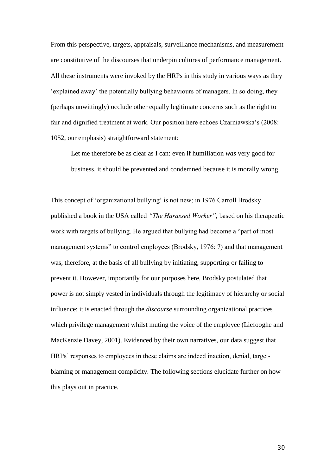From this perspective, targets, appraisals, surveillance mechanisms, and measurement are constitutive of the discourses that underpin cultures of performance management. All these instruments were invoked by the HRPs in this study in various ways as they 'explained away' the potentially bullying behaviours of managers. In so doing, they (perhaps unwittingly) occlude other equally legitimate concerns such as the right to fair and dignified treatment at work. Our position here echoes Czarniawska's (2008: 1052, our emphasis) straightforward statement:

Let me therefore be as clear as I can: even if humiliation *was* very good for business, it should be prevented and condemned because it is morally wrong.

This concept of 'organizational bullying' is not new; in 1976 Carroll Brodsky published a book in the USA called *"The Harassed Worker"*, based on his therapeutic work with targets of bullying. He argued that bullying had become a "part of most management systems" to control employees (Brodsky, 1976: 7) and that management was, therefore, at the basis of all bullying by initiating, supporting or failing to prevent it. However, importantly for our purposes here, Brodsky postulated that power is not simply vested in individuals through the legitimacy of hierarchy or social influence; it is enacted through the *discourse* surrounding organizational practices which privilege management whilst muting the voice of the employee (Liefooghe and MacKenzie Davey, 2001). Evidenced by their own narratives, our data suggest that HRPs' responses to employees in these claims are indeed inaction, denial, targetblaming or management complicity. The following sections elucidate further on how this plays out in practice.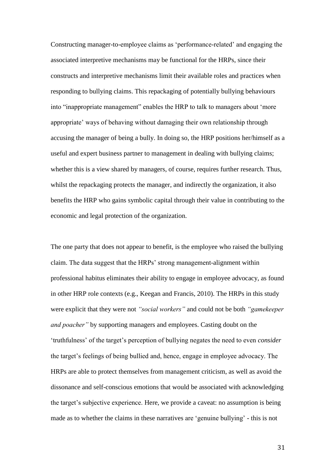Constructing manager-to-employee claims as 'performance-related' and engaging the associated interpretive mechanisms may be functional for the HRPs, since their constructs and interpretive mechanisms limit their available roles and practices when responding to bullying claims. This repackaging of potentially bullying behaviours into "inappropriate management" enables the HRP to talk to managers about 'more appropriate' ways of behaving without damaging their own relationship through accusing the manager of being a bully. In doing so, the HRP positions her/himself as a useful and expert business partner to management in dealing with bullying claims; whether this is a view shared by managers, of course, requires further research. Thus, whilst the repackaging protects the manager, and indirectly the organization, it also benefits the HRP who gains symbolic capital through their value in contributing to the economic and legal protection of the organization.

The one party that does not appear to benefit, is the employee who raised the bullying claim. The data suggest that the HRPs' strong management-alignment within professional habitus eliminates their ability to engage in employee advocacy, as found in other HRP role contexts (e.g., Keegan and Francis, 2010). The HRPs in this study were explicit that they were not *"social workers"* and could not be both *"gamekeeper and poacher"* by supporting managers and employees. Casting doubt on the 'truthfulness' of the target's perception of bullying negates the need to even *consider* the target's feelings of being bullied and, hence, engage in employee advocacy. The HRPs are able to protect themselves from management criticism, as well as avoid the dissonance and self-conscious emotions that would be associated with acknowledging the target's subjective experience. Here, we provide a caveat: no assumption is being made as to whether the claims in these narratives are 'genuine bullying' - this is not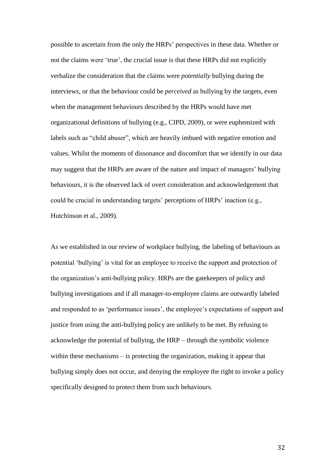possible to ascertain from the only the HRPs' perspectives in these data. Whether or not the claims were 'true', the crucial issue is that these HRPs did not explicitly verbalize the consideration that the claims were *potentially* bullying during the interviews, or that the behaviour could be *perceived* as bullying by the targets, even when the management behaviours described by the HRPs would have met organizational definitions of bullying (e.g., CIPD, 2009), or were euphemized with labels such as "child abuser", which are heavily imbued with negative emotion and values. Whilst the moments of dissonance and discomfort that we identify in our data may suggest that the HRPs are aware of the nature and impact of managers' bullying behaviours, it is the observed lack of overt consideration and acknowledgement that could be crucial in understanding targets' perceptions of HRPs' inaction (e.g., Hutchinson et al., 2009).

As we established in our review of workplace bullying, the labeling of behaviours as potential 'bullying' is vital for an employee to receive the support and protection of the organization's anti-bullying policy. HRPs are the gatekeepers of policy and bullying investigations and if all manager-to-employee claims are outwardly labeled and responded to as 'performance issues', the employee's expectations of support and justice from using the anti-bullying policy are unlikely to be met. By refusing to acknowledge the potential of bullying, the HRP – through the symbolic violence within these mechanisms – is protecting the organization, making it appear that bullying simply does not occur, and denying the employee the right to invoke a policy specifically designed to protect them from such behaviours.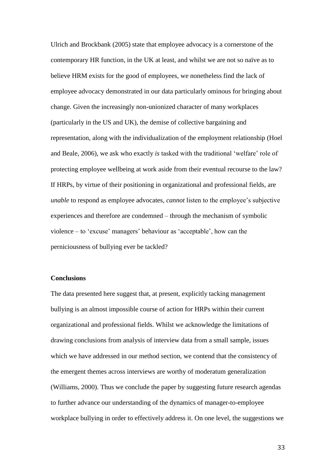Ulrich and Brockbank (2005) state that employee advocacy is a cornerstone of the contemporary HR function, in the UK at least, and whilst we are not so naïve as to believe HRM exists for the good of employees, we nonetheless find the lack of employee advocacy demonstrated in our data particularly ominous for bringing about change. Given the increasingly non-unionized character of many workplaces (particularly in the US and UK), the demise of collective bargaining and representation, along with the individualization of the employment relationship (Hoel and Beale, 2006), we ask who exactly *is* tasked with the traditional 'welfare' role of protecting employee wellbeing at work aside from their eventual recourse to the law? If HRPs, by virtue of their positioning in organizational and professional fields, are *unable* to respond as employee advocates, *cannot* listen to the employee's subjective experiences and therefore are condemned – through the mechanism of symbolic violence – to 'excuse' managers' behaviour as 'acceptable', how can the perniciousness of bullying ever be tackled?

### **Conclusions**

The data presented here suggest that, at present, explicitly tacking management bullying is an almost impossible course of action for HRPs within their current organizational and professional fields. Whilst we acknowledge the limitations of drawing conclusions from analysis of interview data from a small sample, issues which we have addressed in our method section, we contend that the consistency of the emergent themes across interviews are worthy of moderatum generalization (Williams, 2000). Thus we conclude the paper by suggesting future research agendas to further advance our understanding of the dynamics of manager-to-employee workplace bullying in order to effectively address it. On one level, the suggestions we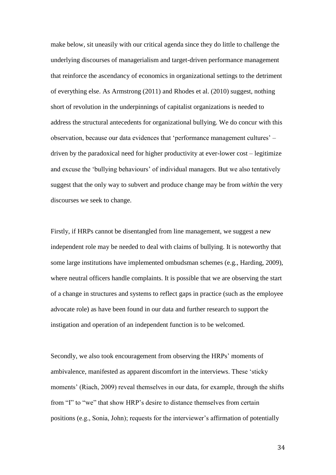make below, sit uneasily with our critical agenda since they do little to challenge the underlying discourses of managerialism and target-driven performance management that reinforce the ascendancy of economics in organizational settings to the detriment of everything else. As Armstrong (2011) and Rhodes et al. (2010) suggest, nothing short of revolution in the underpinnings of capitalist organizations is needed to address the structural antecedents for organizational bullying. We do concur with this observation, because our data evidences that 'performance management cultures' – driven by the paradoxical need for higher productivity at ever-lower cost – legitimize and excuse the 'bullying behaviours' of individual managers. But we also tentatively suggest that the only way to subvert and produce change may be from *within* the very discourses we seek to change.

Firstly, if HRPs cannot be disentangled from line management, we suggest a new independent role may be needed to deal with claims of bullying. It is noteworthy that some large institutions have implemented ombudsman schemes (e.g., Harding, 2009), where neutral officers handle complaints. It is possible that we are observing the start of a change in structures and systems to reflect gaps in practice (such as the employee advocate role) as have been found in our data and further research to support the instigation and operation of an independent function is to be welcomed.

Secondly, we also took encouragement from observing the HRPs' moments of ambivalence, manifested as apparent discomfort in the interviews. These 'sticky moments' (Riach, 2009) reveal themselves in our data, for example, through the shifts from "I" to "we" that show HRP's desire to distance themselves from certain positions (e.g., Sonia, John); requests for the interviewer's affirmation of potentially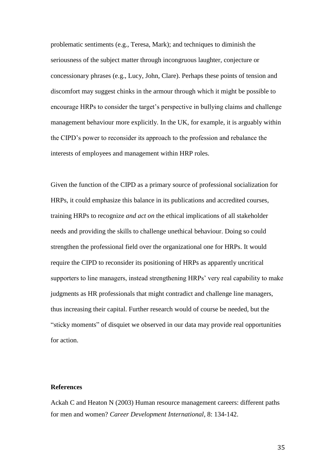problematic sentiments (e.g., Teresa, Mark); and techniques to diminish the seriousness of the subject matter through incongruous laughter, conjecture or concessionary phrases (e.g., Lucy, John, Clare). Perhaps these points of tension and discomfort may suggest chinks in the armour through which it might be possible to encourage HRPs to consider the target's perspective in bullying claims and challenge management behaviour more explicitly. In the UK, for example, it is arguably within the CIPD's power to reconsider its approach to the profession and rebalance the interests of employees and management within HRP roles.

Given the function of the CIPD as a primary source of professional socialization for HRPs, it could emphasize this balance in its publications and accredited courses, training HRPs to recognize *and act on* the ethical implications of all stakeholder needs and providing the skills to challenge unethical behaviour. Doing so could strengthen the professional field over the organizational one for HRPs. It would require the CIPD to reconsider its positioning of HRPs as apparently uncritical supporters to line managers, instead strengthening HRPs' very real capability to make judgments as HR professionals that might contradict and challenge line managers, thus increasing their capital. Further research would of course be needed, but the "sticky moments" of disquiet we observed in our data may provide real opportunities for action.

## **References**

Ackah C and Heaton N (2003) Human resource management careers: different paths for men and women? *Career Development International*, 8: 134-142.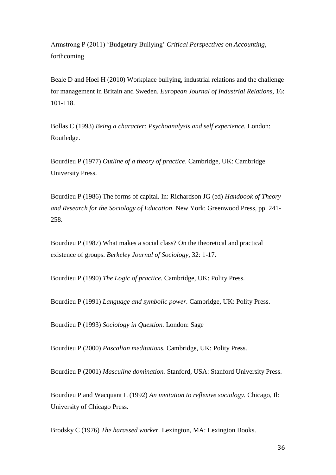Armstrong P (2011) 'Budgetary Bullying' *Critical Perspectives on Accounting,*  forthcoming

Beale D and Hoel H (2010) Workplace bullying, industrial relations and the challenge for management in Britain and Sweden. *European Journal of Industrial Relations,* 16: 101-118.

Bollas C (1993) *Being a character: Psychoanalysis and self experience.* London: Routledge.

Bourdieu P (1977) *Outline of a theory of practice*. Cambridge, UK: Cambridge University Press.

Bourdieu P (1986) The forms of capital. In: Richardson JG (ed) *Handbook of Theory and Research for the Sociology of Education*. New York: Greenwood Press, pp. 241- 258.

Bourdieu P (1987) What makes a social class? On the theoretical and practical existence of groups. *Berkeley Journal of Sociology,* 32: 1-17.

Bourdieu P (1990) *The Logic of practice.* Cambridge, UK: Polity Press.

Bourdieu P (1991) *Language and symbolic power.* Cambridge, UK: Polity Press.

Bourdieu P (1993) *Sociology in Question.* London: Sage

Bourdieu P (2000) *Pascalian meditations.* Cambridge, UK: Polity Press.

Bourdieu P (2001) *Masculine domination.* Stanford, USA: Stanford University Press.

Bourdieu P and Wacquant L (1992) *An invitation to reflexive sociology.* Chicago, Il: University of Chicago Press.

Brodsky C (1976) *The harassed worker.* Lexington, MA: Lexington Books.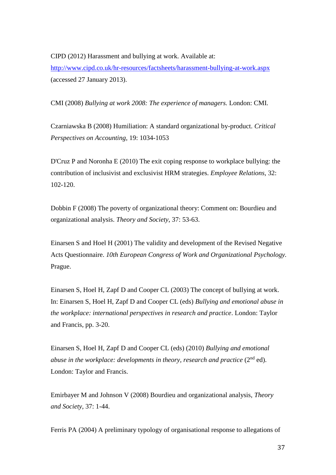CIPD (2012) Harassment and bullying at work. Available at: <http://www.cipd.co.uk/hr-resources/factsheets/harassment-bullying-at-work.aspx> (accessed 27 January 2013).

CMI (2008) *Bullying at work 2008: The experience of managers.* London: CMI.

Czarniawska B (2008) Humiliation: A standard organizational by-product. *Critical Perspectives on Accounting,* 19: 1034-1053

D'Cruz P and Noronha E (2010) The exit coping response to workplace bullying: the contribution of inclusivist and exclusivist HRM strategies. *Employee Relations,* 32: 102-120.

Dobbin F (2008) The poverty of organizational theory: Comment on: Bourdieu and organizational analysis. *Theory and Society*, 37: 53-63.

Einarsen S and Hoel H (2001) The validity and development of the Revised Negative Acts Questionnaire. *10th European Congress of Work and Organizational Psychology.* Prague.

Einarsen S, Hoel H, Zapf D and Cooper CL (2003) The concept of bullying at work. In: Einarsen S, Hoel H, Zapf D and Cooper CL (eds) *Bullying and emotional abuse in the workplace: international perspectives in research and practice*. London: Taylor and Francis, pp. 3-20.

Einarsen S, Hoel H, Zapf D and Cooper CL (eds) (2010) *Bullying and emotional abuse in the workplace: developments in theory, research and practice (2<sup>nd</sup> ed).* London: Taylor and Francis.

Emirbayer M and Johnson V (2008) Bourdieu and organizational analysis, *Theory and Society,* 37: 1-44.

Ferris PA (2004) A preliminary typology of organisational response to allegations of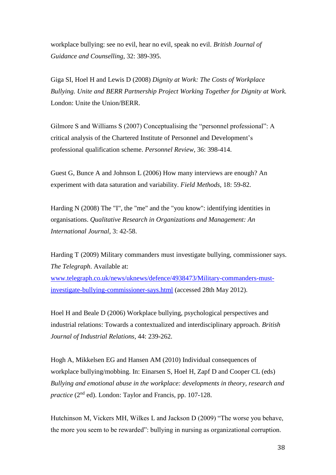workplace bullying: see no evil, hear no evil, speak no evil. *British Journal of Guidance and Counselling*, 32: 389-395.

Giga SI, Hoel H and Lewis D (2008) *Dignity at Work: The Costs of Workplace Bullying. Unite and BERR Partnership Project Working Together for Dignity at Work.*  London: Unite the Union/BERR.

Gilmore S and Williams S (2007) Conceptualising the "personnel professional": A critical analysis of the Chartered Institute of Personnel and Development's professional qualification scheme. *Personnel Review*, 36: 398-414.

Guest G, Bunce A and Johnson L (2006) How many interviews are enough? An experiment with data saturation and variability. *Field Methods,* 18: 59-82.

Harding N (2008) The "I", the "me" and the "you know": identifying identities in organisations. *Qualitative Research in Organizations and Management: An International Journal*, 3: 42-58.

Harding T (2009) Military commanders must investigate bullying, commissioner says. *The Telegraph*. Available at:

[www.telegraph.co.uk/news/uknews/defence/4938473/Military-commanders-must](http://www.telegraph.co.uk/news/uknews/defence/4938473/Military-commanders-must-investigate-bullying-commissioner-says.html)[investigate-bullying-commissioner-says.html](http://www.telegraph.co.uk/news/uknews/defence/4938473/Military-commanders-must-investigate-bullying-commissioner-says.html) (accessed 28th May 2012).

Hoel H and Beale D (2006) Workplace bullying, psychological perspectives and industrial relations: Towards a contextualized and interdisciplinary approach. *British Journal of Industrial Relations,* 44: 239-262.

Hogh A, Mikkelsen EG and Hansen AM (2010) Individual consequences of workplace bullying/mobbing. In: Einarsen S, Hoel H, Zapf D and Cooper CL (eds) *Bullying and emotional abuse in the workplace: developments in theory, research and practice* (2<sup>nd</sup> ed). London: Taylor and Francis, pp. 107-128.

Hutchinson M, Vickers MH, Wilkes L and Jackson D (2009) "The worse you behave, the more you seem to be rewarded": bullying in nursing as organizational corruption.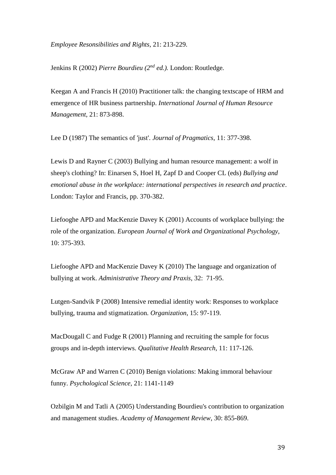*Employee Resonsibilities and Rights,* 21: 213-229.

Jenkins R (2002) *Pierre Bourdieu (2nd ed.).* London: Routledge*.*

Keegan A and Francis H (2010) Practitioner talk: the changing textscape of HRM and emergence of HR business partnership. *International Journal of Human Resource Management,* 21: 873-898.

Lee D (1987) The semantics of 'just'. *Journal of Pragmatics*, 11: 377-398.

Lewis D and Rayner C (2003) Bullying and human resource management: a wolf in sheep's clothing? In: Einarsen S, Hoel H, Zapf D and Cooper CL (eds) *Bullying and emotional abuse in the workplace: international perspectives in research and practice*. London: Taylor and Francis, pp. 370-382.

Liefooghe APD and MacKenzie Davey K (2001) Accounts of workplace bullying: the role of the organization. *European Journal of Work and Organizational Psychology,*  10: 375-393.

Liefooghe APD and MacKenzie Davey K (2010) The language and organization of bullying at work. *Administrative Theory and Praxis*, 32: 71-95.

Lutgen-Sandvik P (2008) Intensive remedial identity work: Responses to workplace bullying, trauma and stigmatization. *Organization*, 15: 97-119.

MacDougall C and Fudge R (2001) Planning and recruiting the sample for focus groups and in-depth interviews. *Qualitative Health Research*, 11: 117-126.

McGraw AP and Warren C (2010) Benign violations: Making immoral behaviour funny. *Psychological Science,* 21: 1141-1149

Ozbilgin M and Tatli A (2005) Understanding Bourdieu's contribution to organization and management studies. *Academy of Management Review*, 30: 855-869.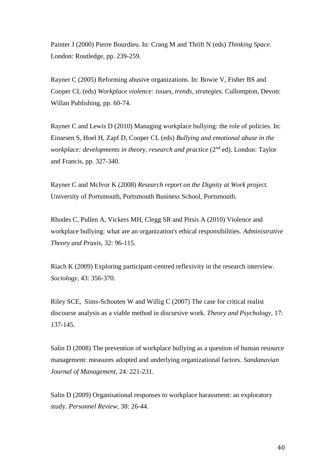Painter J (2000) Pierre Bourdieu. In: Crang M and Thrift N (eds) *Thinking Space*. London: Routledge, pp. 239-259.

Rayner C (2005) Reforming abusive organizations. In: Bowie V, Fisher BS and Cooper CL (eds) *Workplace violence: issues, trends, strategies*. Cullompton, Devon: Willan Publishing, pp. 60-74.

Rayner C and Lewis D (2010) Managing workplace bullying: the role of policies. In: Einarsen S, Hoel H, Zapf D, Cooper CL (eds) *Bullying and emotional abuse in the workplace: developments in theory, research and practice* (2<sup>nd</sup> ed). London: Taylor and Francis, pp. 327-340.

Rayner C and McIvor K (2008) *Research report on the Dignity at Work project.* University of Portsmouth, Portsmouth Business School, Portsmouth.

Rhodes C, Pullen A, Vickers MH, Clegg SR and Pitsis A (2010) Violence and workplace bullying: what are an organization's ethical responsibilities. *Administrative Theory and Praxis,* 32: 96-115.

Riach K (2009) Exploring participant-centred reflexivity in the research interview. *Sociology*, 43: 356-370.

Riley SCE, Sims-Schouten W and Willig C (2007) The case for critical realist discourse analysis as a viable method in discursive work. *Theory and Psychology,* 17: 137-145.

Salin D (2008) The prevention of workplace bullying as a question of human resource management: measures adopted and underlying organizational factors. *Sandanavian Journal of Management*, 24: 221-231.

Salin D (2009) Organisational responses to workplace harassment: an exploratory study. *Personnel Review,* 38: 26-44.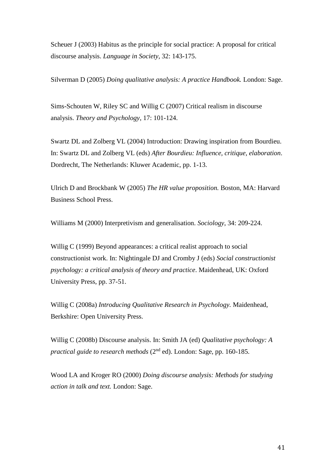Scheuer J (2003) Habitus as the principle for social practice: A proposal for critical discourse analysis. *Language in Society,* 32: 143-175.

Silverman D (2005) *Doing qualitative analysis: A practice Handbook.* London: Sage.

Sims-Schouten W, Riley SC and Willig C (2007) Critical realism in discourse analysis. *Theory and Psychology*, 17: 101-124.

Swartz DL and Zolberg VL (2004) Introduction: Drawing inspiration from Bourdieu. In: Swartz DL and Zolberg VL (eds) *After Bourdieu: Influence, critique, elaboration*. Dordrecht, The Netherlands: Kluwer Academic, pp. 1-13.

Ulrich D and Brockbank W (2005) *The HR value proposition.* Boston, MA: Harvard Business School Press.

Williams M (2000) Interpretivism and generalisation. *Sociology*, 34: 209-224.

Willig C (1999) Beyond appearances: a critical realist approach to social constructionist work. In: Nightingale DJ and Cromby J (eds) *Social constructionist psychology: a critical analysis of theory and practice*. Maidenhead, UK: Oxford University Press, pp. 37-51.

Willig C (2008a) *Introducing Qualitative Research in Psychology.* Maidenhead, Berkshire: Open University Press.

Willig C (2008b) Discourse analysis. In: Smith JA (ed) *Qualitative psychology: A practical guide to research methods* (2nd ed). London: Sage, pp. 160-185.

Wood LA and Kroger RO (2000) *Doing discourse analysis: Methods for studying action in talk and text.* London: Sage.